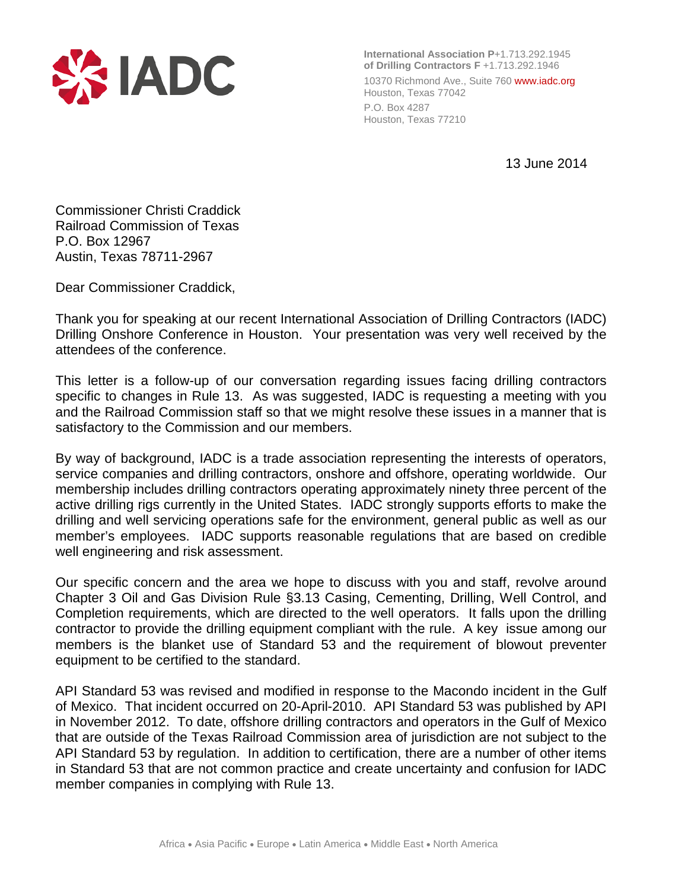

**International Association P**+1.713.292.1945 **of Drilling Contractors F** +1.713.292.1946 10370 Richmond Ave., Suite 760 www.iadc.org Houston, Texas 77042 P.O. Box 4287 Houston, Texas 77210

13 June 2014

Commissioner Christi Craddick Railroad Commission of Texas P.O. Box 12967 Austin, Texas 78711-2967

Dear Commissioner Craddick,

Thank you for speaking at our recent International Association of Drilling Contractors (IADC) Drilling Onshore Conference in Houston. Your presentation was very well received by the attendees of the conference.

This letter is a follow-up of our conversation regarding issues facing drilling contractors specific to changes in Rule 13. As was suggested, IADC is requesting a meeting with you and the Railroad Commission staff so that we might resolve these issues in a manner that is satisfactory to the Commission and our members.

By way of background, IADC is a trade association representing the interests of operators, service companies and drilling contractors, onshore and offshore, operating worldwide. Our membership includes drilling contractors operating approximately ninety three percent of the active drilling rigs currently in the United States. IADC strongly supports efforts to make the drilling and well servicing operations safe for the environment, general public as well as our member's employees. IADC supports reasonable regulations that are based on credible well engineering and risk assessment.

Our specific concern and the area we hope to discuss with you and staff, revolve around Chapter 3 Oil and Gas Division Rule §3.13 Casing, Cementing, Drilling, Well Control, and Completion requirements, which are directed to the well operators. It falls upon the drilling contractor to provide the drilling equipment compliant with the rule. A key issue among our members is the blanket use of Standard 53 and the requirement of blowout preventer equipment to be certified to the standard.

API Standard 53 was revised and modified in response to the Macondo incident in the Gulf of Mexico. That incident occurred on 20-April-2010. API Standard 53 was published by API in November 2012. To date, offshore drilling contractors and operators in the Gulf of Mexico that are outside of the Texas Railroad Commission area of jurisdiction are not subject to the API Standard 53 by regulation. In addition to certification, there are a number of other items in Standard 53 that are not common practice and create uncertainty and confusion for IADC member companies in complying with Rule 13.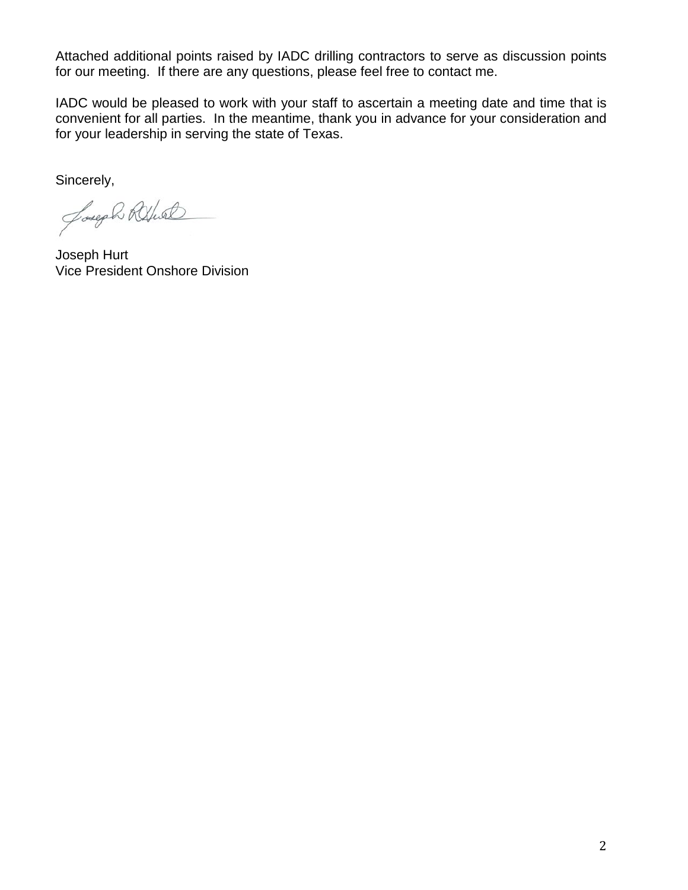Attached additional points raised by IADC drilling contractors to serve as discussion points for our meeting. If there are any questions, please feel free to contact me.

IADC would be pleased to work with your staff to ascertain a meeting date and time that is convenient for all parties. In the meantime, thank you in advance for your consideration and for your leadership in serving the state of Texas.

Sincerely,

Joseph Rethal

Joseph Hurt Vice President Onshore Division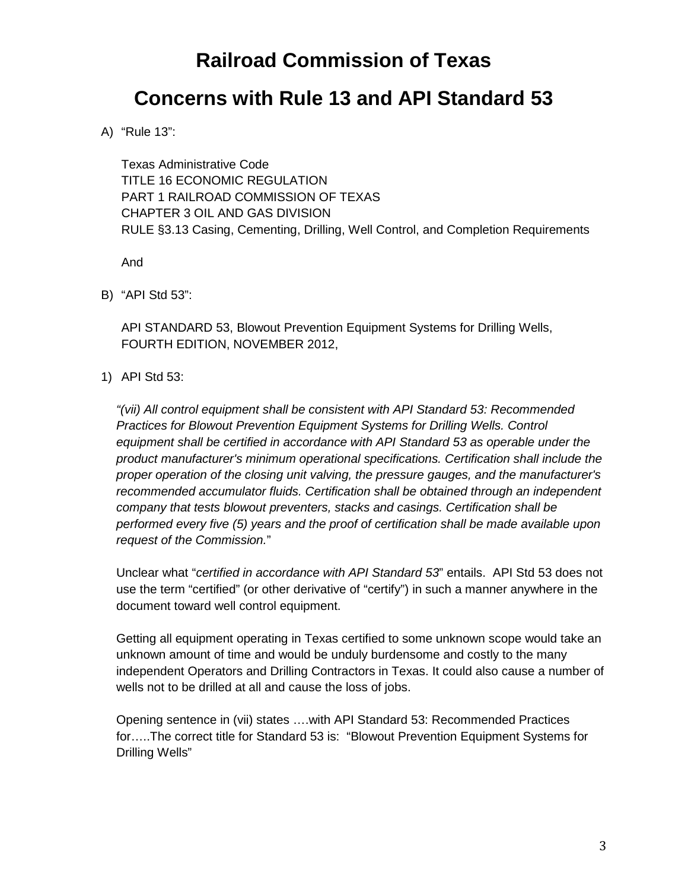# **Railroad Commission of Texas**

## **Concerns with Rule 13 and API Standard 53**

A) "Rule 13":

Texas Administrative Code TITLE 16 ECONOMIC REGULATION PART 1 RAILROAD COMMISSION OF TEXAS CHAPTER 3 OIL AND GAS DIVISION RULE §3.13 Casing, Cementing, Drilling, Well Control, and Completion Requirements

And

B) "API Std 53":

API STANDARD 53, Blowout Prevention Equipment Systems for Drilling Wells, FOURTH EDITION, NOVEMBER 2012,

1) API Std 53:

*"(vii) All control equipment shall be consistent with API Standard 53: Recommended*  **Practices for Blowout Prevention Equipment Systems for Drilling Wells. Control** *equipment shall be certified in accordance with API Standard 53 as operable under the product manufacturer's minimum operational specifications. Certification shall include the proper operation of the closing unit valving, the pressure gauges, and the manufacturer's recommended accumulator fluids. Certification shall be obtained through an independent company that tests blowout preventers, stacks and casings. Certification shall be performed every five (5) years and the proof of certification shall be made available upon request of the Commission.*"

Unclear what "*certified in accordance with API Standard 53*" entails. API Std 53 does not use the term "certified" (or other derivative of "certify") in such a manner anywhere in the document toward well control equipment.

Getting all equipment operating in Texas certified to some unknown scope would take an unknown amount of time and would be unduly burdensome and costly to the many independent Operators and Drilling Contractors in Texas. It could also cause a number of wells not to be drilled at all and cause the loss of jobs.

Opening sentence in (vii) states ….with API Standard 53: Recommended Practices for…..The correct title for Standard 53 is: "Blowout Prevention Equipment Systems for Drilling Wells"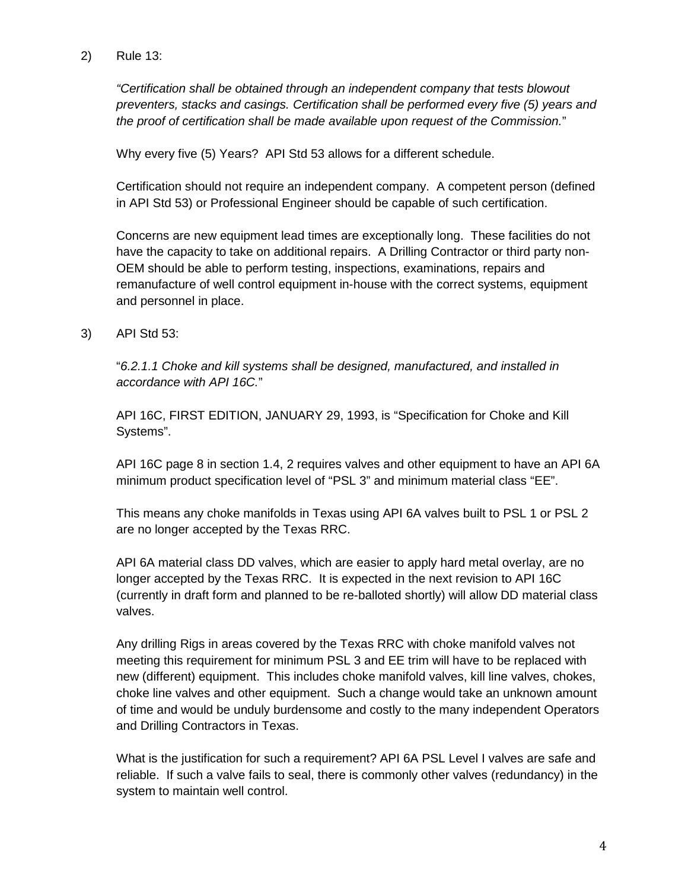2) Rule 13:

*"Certification shall be obtained through an independent company that tests blowout preventers, stacks and casings. Certification shall be performed every five (5) years and the proof of certification shall be made available upon request of the Commission.*"

Why every five (5) Years? API Std 53 allows for a different schedule.

Certification should not require an independent company. A competent person (defined in API Std 53) or Professional Engineer should be capable of such certification.

Concerns are new equipment lead times are exceptionally long. These facilities do not have the capacity to take on additional repairs. A Drilling Contractor or third party non-OEM should be able to perform testing, inspections, examinations, repairs and remanufacture of well control equipment in-house with the correct systems, equipment and personnel in place.

3) API Std 53:

"*6.2.1.1 Choke and kill systems shall be designed, manufactured, and installed in accordance with API 16C.*"

API 16C, FIRST EDITION, JANUARY 29, 1993, is "Specification for Choke and Kill Systems".

API 16C page 8 in section 1.4, 2 requires valves and other equipment to have an API 6A minimum product specification level of "PSL 3" and minimum material class "EE".

This means any choke manifolds in Texas using API 6A valves built to PSL 1 or PSL 2 are no longer accepted by the Texas RRC.

API 6A material class DD valves, which are easier to apply hard metal overlay, are no longer accepted by the Texas RRC. It is expected in the next revision to API 16C (currently in draft form and planned to be re-balloted shortly) will allow DD material class valves.

Any drilling Rigs in areas covered by the Texas RRC with choke manifold valves not meeting this requirement for minimum PSL 3 and EE trim will have to be replaced with new (different) equipment. This includes choke manifold valves, kill line valves, chokes, choke line valves and other equipment. Such a change would take an unknown amount of time and would be unduly burdensome and costly to the many independent Operators and Drilling Contractors in Texas.

What is the justification for such a requirement? API 6A PSL Level I valves are safe and reliable. If such a valve fails to seal, there is commonly other valves (redundancy) in the system to maintain well control.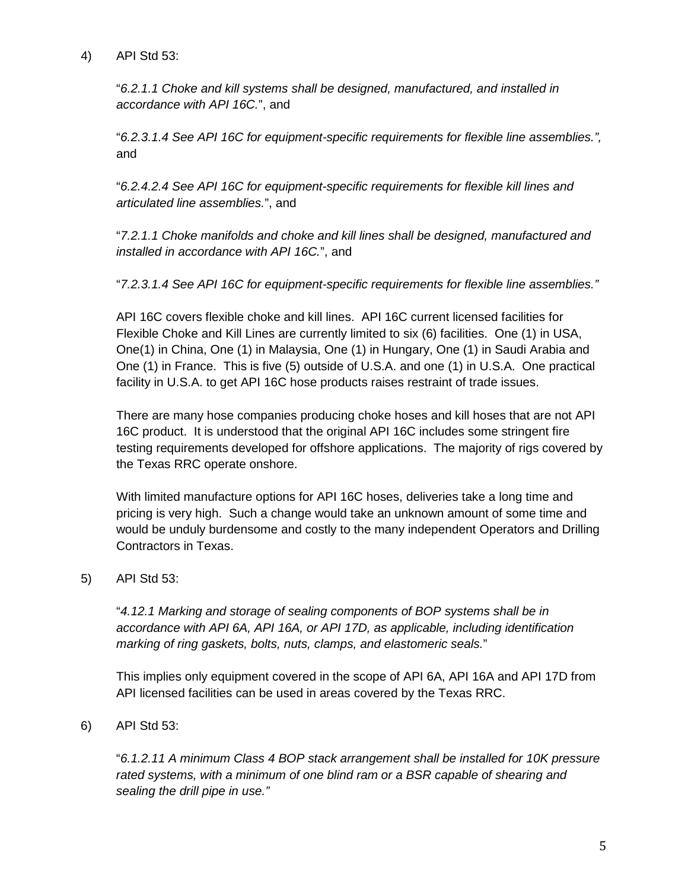4) API Std 53:

"*6.2.1.1 Choke and kill systems shall be designed, manufactured, and installed in accordance with API 16C.*", and

"*6.2.3.1.4 See API 16C for equipment-specific requirements for flexible line assemblies.",*  and

"*6.2.4.2.4 See API 16C for equipment-specific requirements for flexible kill lines and articulated line assemblies.*", and

"*7.2.1.1 Choke manifolds and choke and kill lines shall be designed, manufactured and installed in accordance with API 16C.*", and

"*7.2.3.1.4 See API 16C for equipment-specific requirements for flexible line assemblies."*

API 16C covers flexible choke and kill lines. API 16C current licensed facilities for Flexible Choke and Kill Lines are currently limited to six (6) facilities. One (1) in USA, One(1) in China, One (1) in Malaysia, One (1) in Hungary, One (1) in Saudi Arabia and One (1) in France. This is five (5) outside of U.S.A. and one (1) in U.S.A. One practical facility in U.S.A. to get API 16C hose products raises restraint of trade issues.

There are many hose companies producing choke hoses and kill hoses that are not API 16C product. It is understood that the original API 16C includes some stringent fire testing requirements developed for offshore applications. The majority of rigs covered by the Texas RRC operate onshore.

With limited manufacture options for API 16C hoses, deliveries take a long time and pricing is very high. Such a change would take an unknown amount of some time and would be unduly burdensome and costly to the many independent Operators and Drilling Contractors in Texas.

### 5) API Std 53:

"*4.12.1 Marking and storage of sealing components of BOP systems shall be in accordance with API 6A, API 16A, or API 17D, as applicable, including identification marking of ring gaskets, bolts, nuts, clamps, and elastomeric seals.*"

This implies only equipment covered in the scope of API 6A, API 16A and API 17D from API licensed facilities can be used in areas covered by the Texas RRC.

6) API Std 53:

"*6.1.2.11 A minimum Class 4 BOP stack arrangement shall be installed for 10K pressure rated systems, with a minimum of one blind ram or a BSR capable of shearing and sealing the drill pipe in use."*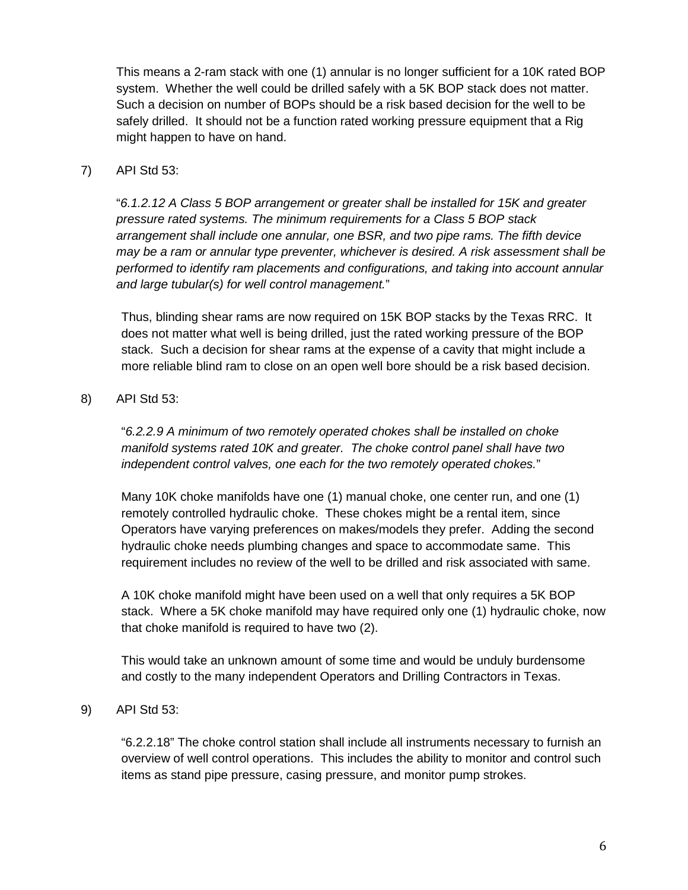This means a 2-ram stack with one (1) annular is no longer sufficient for a 10K rated BOP system. Whether the well could be drilled safely with a 5K BOP stack does not matter. Such a decision on number of BOPs should be a risk based decision for the well to be safely drilled. It should not be a function rated working pressure equipment that a Rig might happen to have on hand.

#### 7) API Std 53:

"*6.1.2.12 A Class 5 BOP arrangement or greater shall be installed for 15K and greater pressure rated systems. The minimum requirements for a Class 5 BOP stack arrangement shall include one annular, one BSR, and two pipe rams. The fifth device may be a ram or annular type preventer, whichever is desired. A risk assessment shall be performed to identify ram placements and configurations, and taking into account annular and large tubular(s) for well control management.*"

Thus, blinding shear rams are now required on 15K BOP stacks by the Texas RRC. It does not matter what well is being drilled, just the rated working pressure of the BOP stack. Such a decision for shear rams at the expense of a cavity that might include a more reliable blind ram to close on an open well bore should be a risk based decision.

#### 8) API Std 53:

"*6.2.2.9 A minimum of two remotely operated chokes shall be installed on choke manifold systems rated 10K and greater. The choke control panel shall have two independent control valves, one each for the two remotely operated chokes.*"

Many 10K choke manifolds have one (1) manual choke, one center run, and one (1) remotely controlled hydraulic choke. These chokes might be a rental item, since Operators have varying preferences on makes/models they prefer. Adding the second hydraulic choke needs plumbing changes and space to accommodate same. This requirement includes no review of the well to be drilled and risk associated with same.

A 10K choke manifold might have been used on a well that only requires a 5K BOP stack. Where a 5K choke manifold may have required only one (1) hydraulic choke, now that choke manifold is required to have two (2).

This would take an unknown amount of some time and would be unduly burdensome and costly to the many independent Operators and Drilling Contractors in Texas.

#### 9) API Std 53:

"6.2.2.18" The choke control station shall include all instruments necessary to furnish an overview of well control operations. This includes the ability to monitor and control such items as stand pipe pressure, casing pressure, and monitor pump strokes.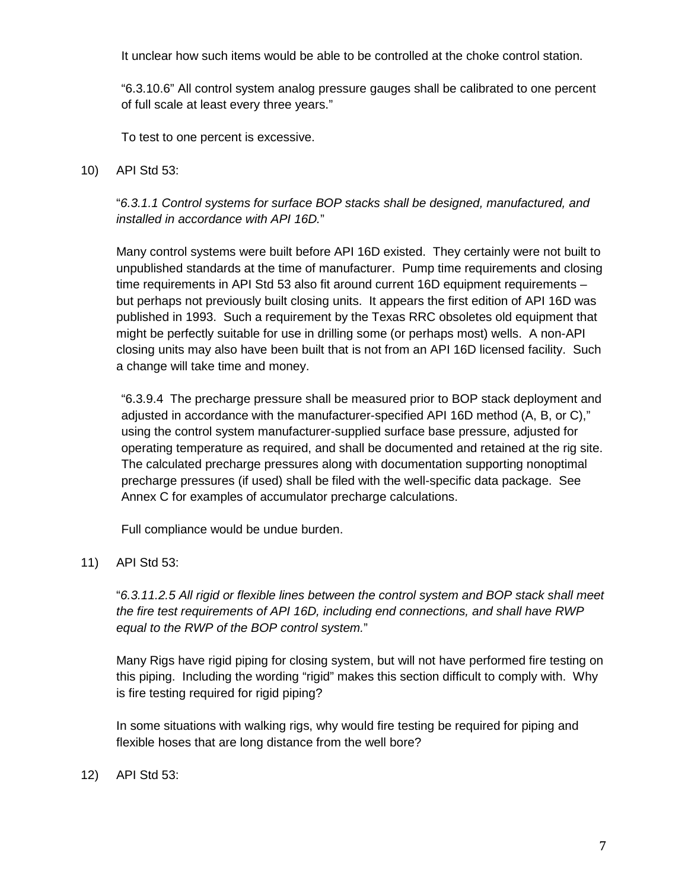It unclear how such items would be able to be controlled at the choke control station.

"6.3.10.6" All control system analog pressure gauges shall be calibrated to one percent of full scale at least every three years."

To test to one percent is excessive.

10) API Std 53:

#### "*6.3.1.1 Control systems for surface BOP stacks shall be designed, manufactured, and installed in accordance with API 16D.*"

Many control systems were built before API 16D existed. They certainly were not built to unpublished standards at the time of manufacturer. Pump time requirements and closing time requirements in API Std 53 also fit around current 16D equipment requirements – but perhaps not previously built closing units. It appears the first edition of API 16D was published in 1993. Such a requirement by the Texas RRC obsoletes old equipment that might be perfectly suitable for use in drilling some (or perhaps most) wells. A non-API closing units may also have been built that is not from an API 16D licensed facility. Such a change will take time and money.

"6.3.9.4 The precharge pressure shall be measured prior to BOP stack deployment and adjusted in accordance with the manufacturer-specified API 16D method (A, B, or C)," using the control system manufacturer-supplied surface base pressure, adjusted for operating temperature as required, and shall be documented and retained at the rig site. The calculated precharge pressures along with documentation supporting nonoptimal precharge pressures (if used) shall be filed with the well-specific data package. See Annex C for examples of accumulator precharge calculations.

Full compliance would be undue burden.

11) API Std 53:

"*6.3.11.2.5 All rigid or flexible lines between the control system and BOP stack shall meet the fire test requirements of API 16D, including end connections, and shall have RWP equal to the RWP of the BOP control system.*"

Many Rigs have rigid piping for closing system, but will not have performed fire testing on this piping. Including the wording "rigid" makes this section difficult to comply with. Why is fire testing required for rigid piping?

In some situations with walking rigs, why would fire testing be required for piping and flexible hoses that are long distance from the well bore?

12) API Std 53: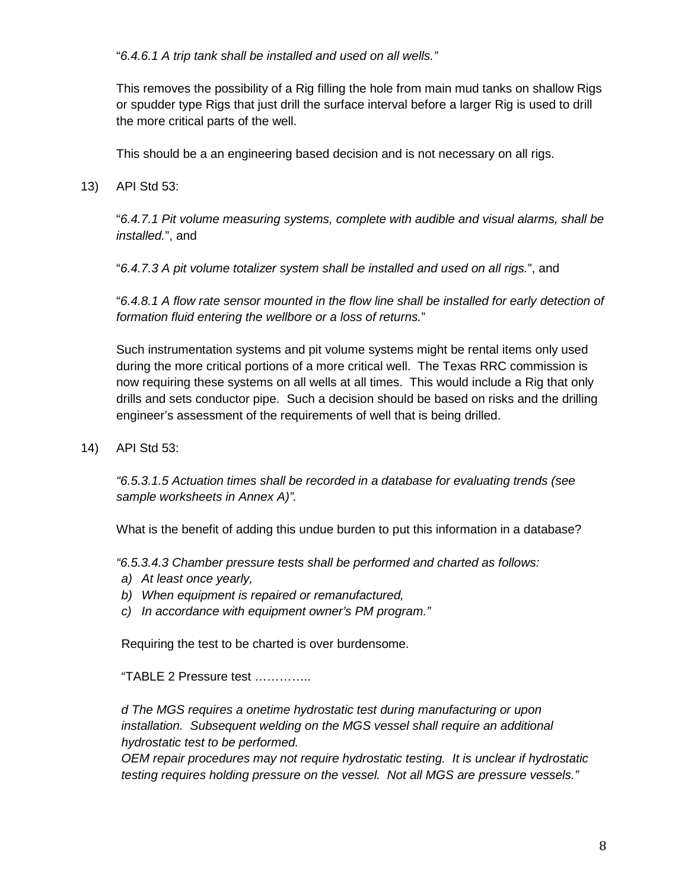"*6.4.6.1 A trip tank shall be installed and used on all wells."*

This removes the possibility of a Rig filling the hole from main mud tanks on shallow Rigs or spudder type Rigs that just drill the surface interval before a larger Rig is used to drill the more critical parts of the well.

This should be a an engineering based decision and is not necessary on all rigs.

13) API Std 53:

"*6.4.7.1 Pit volume measuring systems, complete with audible and visual alarms, shall be installed.*", and

"*6.4.7.3 A pit volume totalizer system shall be installed and used on all rigs.*", and

"*6.4.8.1 A flow rate sensor mounted in the flow line shall be installed for early detection of formation fluid entering the wellbore or a loss of returns.*"

Such instrumentation systems and pit volume systems might be rental items only used during the more critical portions of a more critical well. The Texas RRC commission is now requiring these systems on all wells at all times. This would include a Rig that only drills and sets conductor pipe. Such a decision should be based on risks and the drilling engineer's assessment of the requirements of well that is being drilled.

14) API Std 53:

*"6.5.3.1.5 Actuation times shall be recorded in a database for evaluating trends (see sample worksheets in Annex A)".*

What is the benefit of adding this undue burden to put this information in a database?

*"6.5.3.4.3 Chamber pressure tests shall be performed and charted as follows:* 

- *a) At least once yearly,*
- *b) When equipment is repaired or remanufactured,*
- *c) In accordance with equipment owner's PM program."*

Requiring the test to be charted is over burdensome.

"TABLE 2 Pressure test …………..

*d The MGS requires a onetime hydrostatic test during manufacturing or upon installation. Subsequent welding on the MGS vessel shall require an additional hydrostatic test to be performed.* 

*OEM repair procedures may not require hydrostatic testing. It is unclear if hydrostatic testing requires holding pressure on the vessel. Not all MGS are pressure vessels."*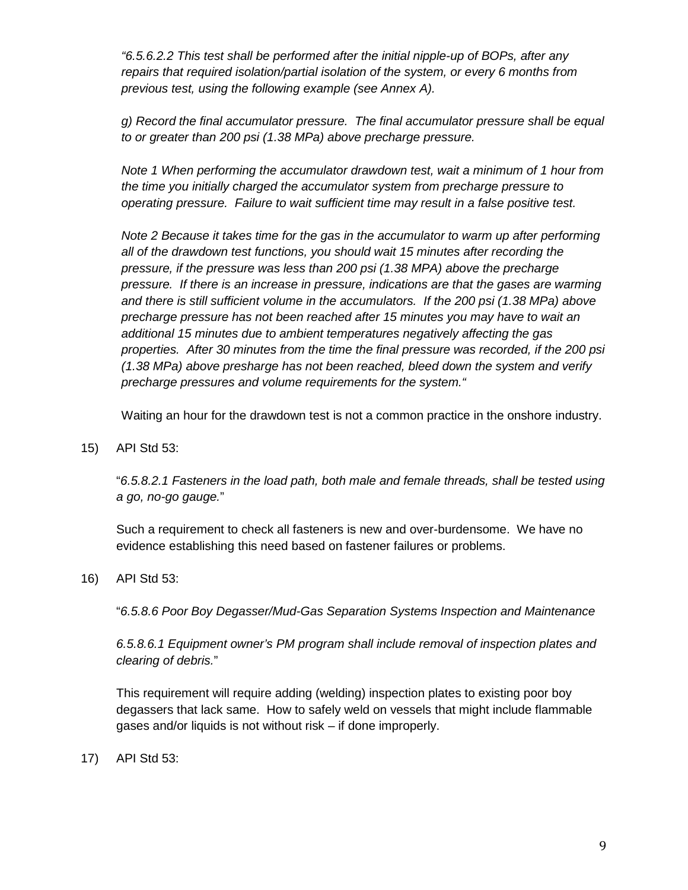*"6.5.6.2.2 This test shall be performed after the initial nipple-up of BOPs, after any repairs that required isolation/partial isolation of the system, or every 6 months from previous test, using the following example (see Annex A).* 

*g) Record the final accumulator pressure. The final accumulator pressure shall be equal to or greater than 200 psi (1.38 MPa) above precharge pressure.* 

*Note 1 When performing the accumulator drawdown test, wait a minimum of 1 hour from the time you initially charged the accumulator system from precharge pressure to operating pressure. Failure to wait sufficient time may result in a false positive test.* 

*Note 2 Because it takes time for the gas in the accumulator to warm up after performing all of the drawdown test functions, you should wait 15 minutes after recording the pressure, if the pressure was less than 200 psi (1.38 MPA) above the precharge pressure. If there is an increase in pressure, indications are that the gases are warming and there is still sufficient volume in the accumulators. If the 200 psi (1.38 MPa) above precharge pressure has not been reached after 15 minutes you may have to wait an additional 15 minutes due to ambient temperatures negatively affecting the gas properties. After 30 minutes from the time the final pressure was recorded, if the 200 psi (1.38 MPa) above presharge has not been reached, bleed down the system and verify precharge pressures and volume requirements for the system."* 

Waiting an hour for the drawdown test is not a common practice in the onshore industry.

15) API Std 53:

"*6.5.8.2.1 Fasteners in the load path, both male and female threads, shall be tested using a go, no-go gauge.*"

Such a requirement to check all fasteners is new and over-burdensome. We have no evidence establishing this need based on fastener failures or problems.

16) API Std 53:

"*6.5.8.6 Poor Boy Degasser/Mud-Gas Separation Systems Inspection and Maintenance*

*6.5.8.6.1 Equipment owner's PM program shall include removal of inspection plates and clearing of debris.*"

This requirement will require adding (welding) inspection plates to existing poor boy degassers that lack same. How to safely weld on vessels that might include flammable gases and/or liquids is not without risk – if done improperly.

17) API Std 53: